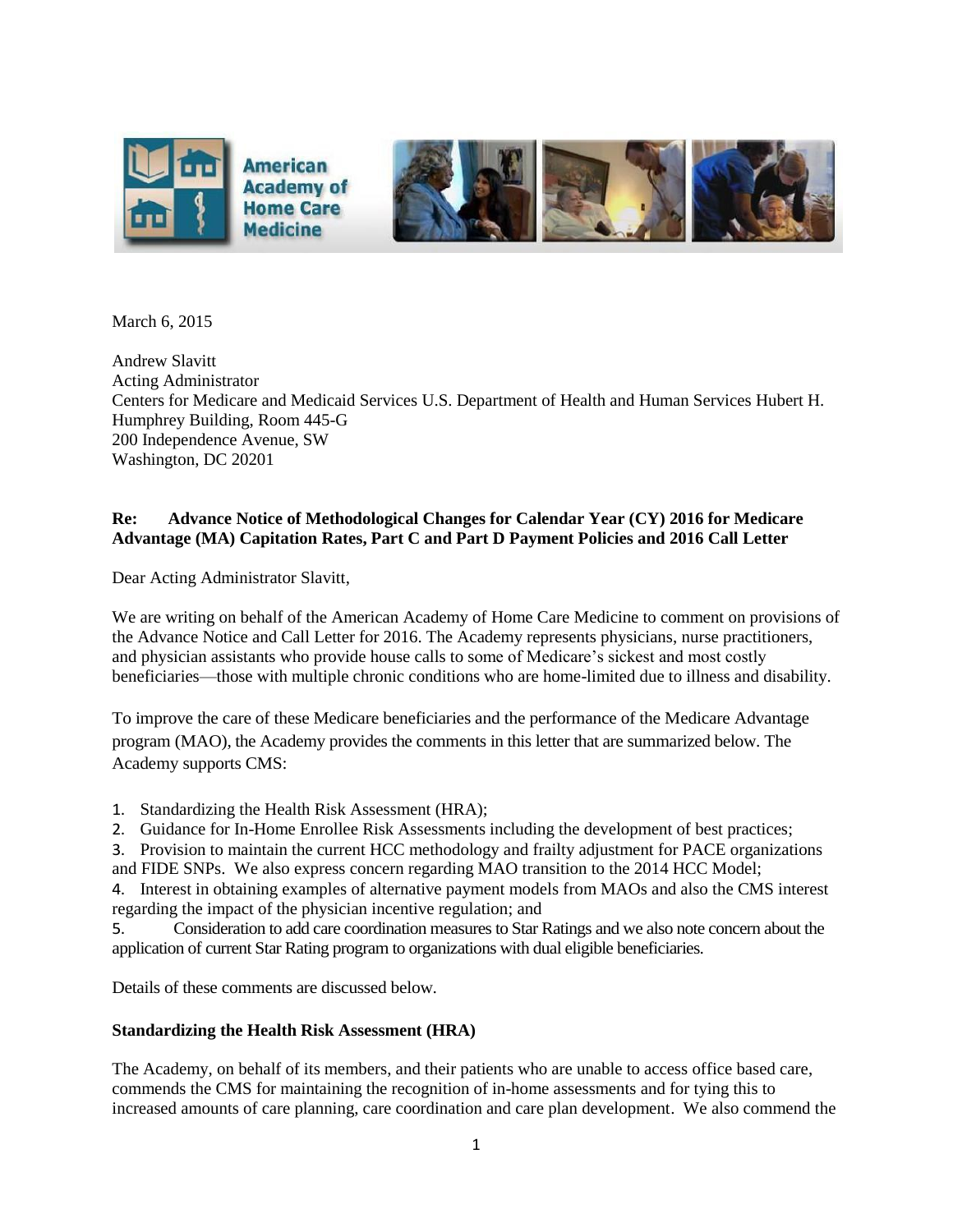

March 6, 2015

Andrew Slavitt Acting Administrator Centers for Medicare and Medicaid Services U.S. Department of Health and Human Services Hubert H. Humphrey Building, Room 445-G 200 Independence Avenue, SW Washington, DC 20201

# **Re: Advance Notice of Methodological Changes for Calendar Year (CY) 2016 for Medicare Advantage (MA) Capitation Rates, Part C and Part D Payment Policies and 2016 Call Letter**

Dear Acting Administrator Slavitt,

We are writing on behalf of the American Academy of Home Care Medicine to comment on provisions of the Advance Notice and Call Letter for 2016. The Academy represents physicians, nurse practitioners, and physician assistants who provide house calls to some of Medicare's sickest and most costly beneficiaries—those with multiple chronic conditions who are home-limited due to illness and disability.

To improve the care of these Medicare beneficiaries and the performance of the Medicare Advantage program (MAO), the Academy provides the comments in this letter that are summarized below. The Academy supports CMS:

- 1. Standardizing the Health Risk Assessment (HRA);
- 2. Guidance for In-Home Enrollee Risk Assessments including the development of best practices;

3. Provision to maintain the current HCC methodology and frailty adjustment for PACE organizations and FIDE SNPs. We also express concern regarding MAO transition to the 2014 HCC Model;

4. Interest in obtaining examples of alternative payment models from MAOs and also the CMS interest regarding the impact of the physician incentive regulation; and

5. Consideration to add care coordination measures to Star Ratings and we also note concern about the application of current Star Rating program to organizations with dual eligible beneficiaries.

Details of these comments are discussed below.

#### **Standardizing the Health Risk Assessment (HRA)**

The Academy, on behalf of its members, and their patients who are unable to access office based care, commends the CMS for maintaining the recognition of in-home assessments and for tying this to increased amounts of care planning, care coordination and care plan development. We also commend the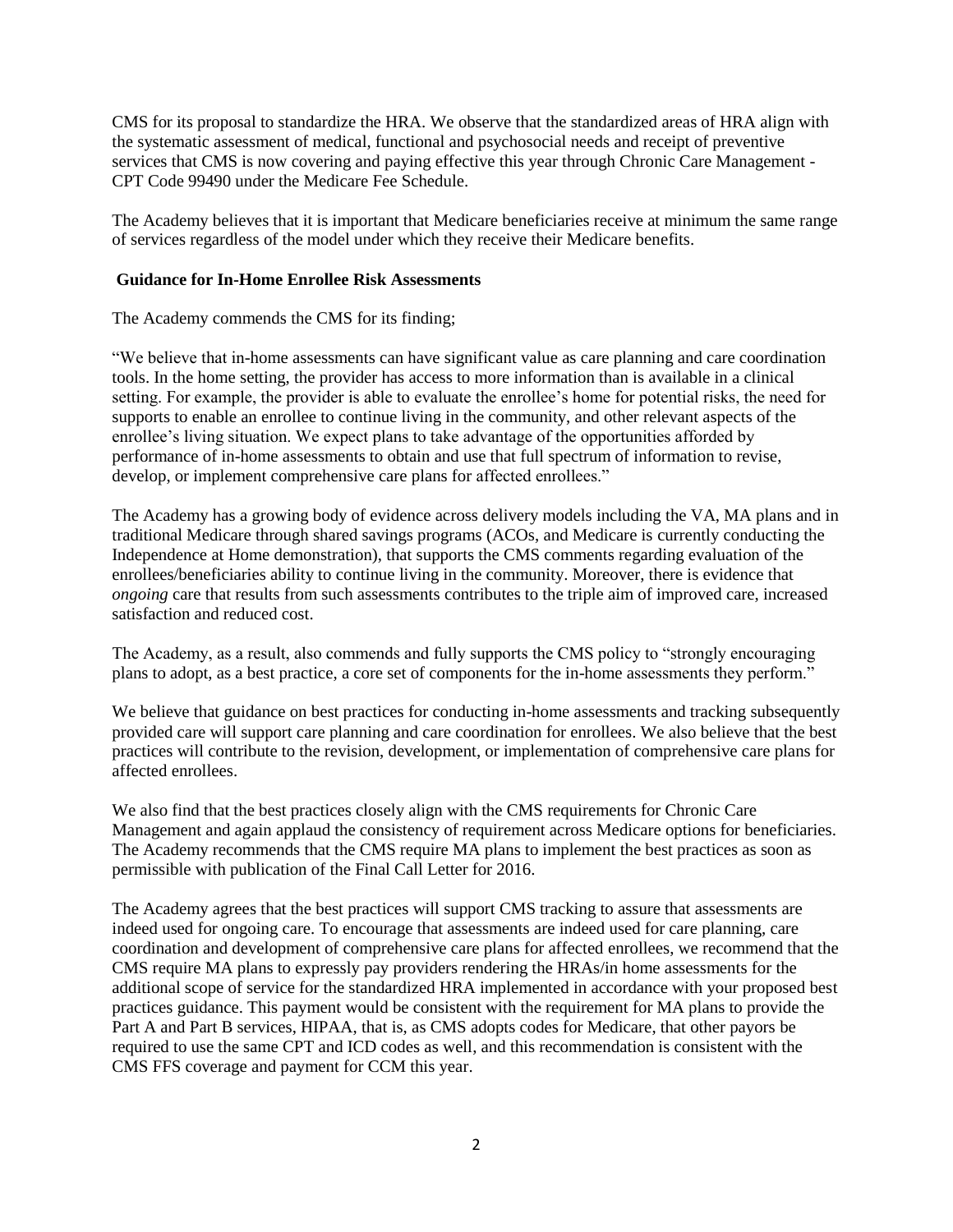CMS for its proposal to standardize the HRA. We observe that the standardized areas of HRA align with the systematic assessment of medical, functional and psychosocial needs and receipt of preventive services that CMS is now covering and paying effective this year through Chronic Care Management - CPT Code 99490 under the Medicare Fee Schedule.

The Academy believes that it is important that Medicare beneficiaries receive at minimum the same range of services regardless of the model under which they receive their Medicare benefits.

#### **Guidance for In-Home Enrollee Risk Assessments**

The Academy commends the CMS for its finding;

"We believe that in-home assessments can have significant value as care planning and care coordination tools. In the home setting, the provider has access to more information than is available in a clinical setting. For example, the provider is able to evaluate the enrollee's home for potential risks, the need for supports to enable an enrollee to continue living in the community, and other relevant aspects of the enrollee's living situation. We expect plans to take advantage of the opportunities afforded by performance of in-home assessments to obtain and use that full spectrum of information to revise, develop, or implement comprehensive care plans for affected enrollees."

The Academy has a growing body of evidence across delivery models including the VA, MA plans and in traditional Medicare through shared savings programs (ACOs, and Medicare is currently conducting the Independence at Home demonstration), that supports the CMS comments regarding evaluation of the enrollees/beneficiaries ability to continue living in the community. Moreover, there is evidence that *ongoing* care that results from such assessments contributes to the triple aim of improved care, increased satisfaction and reduced cost.

The Academy, as a result, also commends and fully supports the CMS policy to "strongly encouraging plans to adopt, as a best practice, a core set of components for the in-home assessments they perform."

We believe that guidance on best practices for conducting in-home assessments and tracking subsequently provided care will support care planning and care coordination for enrollees. We also believe that the best practices will contribute to the revision, development, or implementation of comprehensive care plans for affected enrollees.

We also find that the best practices closely align with the CMS requirements for Chronic Care Management and again applaud the consistency of requirement across Medicare options for beneficiaries. The Academy recommends that the CMS require MA plans to implement the best practices as soon as permissible with publication of the Final Call Letter for 2016.

The Academy agrees that the best practices will support CMS tracking to assure that assessments are indeed used for ongoing care. To encourage that assessments are indeed used for care planning, care coordination and development of comprehensive care plans for affected enrollees, we recommend that the CMS require MA plans to expressly pay providers rendering the HRAs/in home assessments for the additional scope of service for the standardized HRA implemented in accordance with your proposed best practices guidance. This payment would be consistent with the requirement for MA plans to provide the Part A and Part B services, HIPAA, that is, as CMS adopts codes for Medicare, that other payors be required to use the same CPT and ICD codes as well, and this recommendation is consistent with the CMS FFS coverage and payment for CCM this year.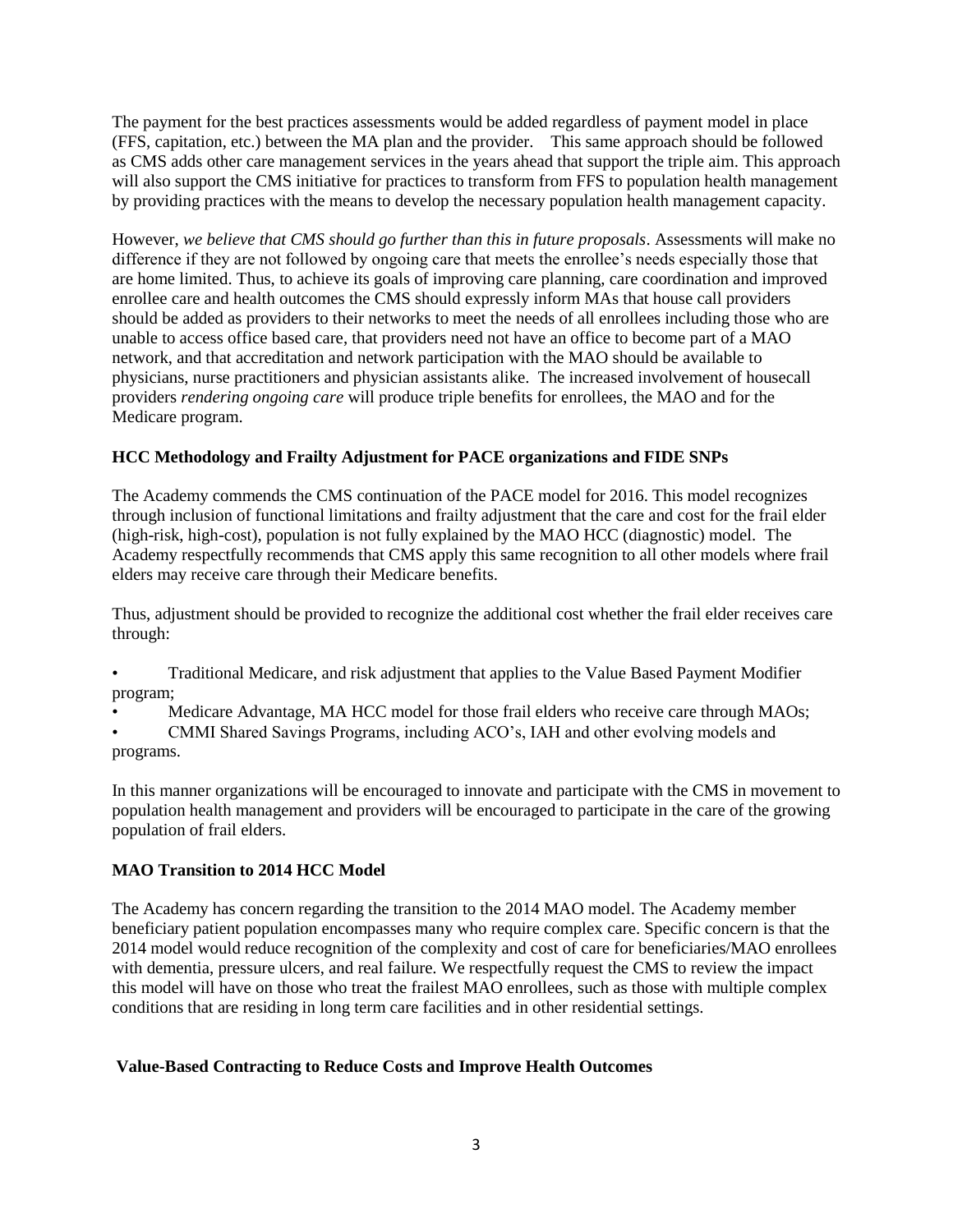The payment for the best practices assessments would be added regardless of payment model in place (FFS, capitation, etc.) between the MA plan and the provider. This same approach should be followed as CMS adds other care management services in the years ahead that support the triple aim. This approach will also support the CMS initiative for practices to transform from FFS to population health management by providing practices with the means to develop the necessary population health management capacity.

However, *we believe that CMS should go further than this in future proposals*. Assessments will make no difference if they are not followed by ongoing care that meets the enrollee's needs especially those that are home limited. Thus, to achieve its goals of improving care planning, care coordination and improved enrollee care and health outcomes the CMS should expressly inform MAs that house call providers should be added as providers to their networks to meet the needs of all enrollees including those who are unable to access office based care, that providers need not have an office to become part of a MAO network, and that accreditation and network participation with the MAO should be available to physicians, nurse practitioners and physician assistants alike. The increased involvement of housecall providers *rendering ongoing care* will produce triple benefits for enrollees, the MAO and for the Medicare program.

# **HCC Methodology and Frailty Adjustment for PACE organizations and FIDE SNPs**

The Academy commends the CMS continuation of the PACE model for 2016. This model recognizes through inclusion of functional limitations and frailty adjustment that the care and cost for the frail elder (high-risk, high-cost), population is not fully explained by the MAO HCC (diagnostic) model. The Academy respectfully recommends that CMS apply this same recognition to all other models where frail elders may receive care through their Medicare benefits.

Thus, adjustment should be provided to recognize the additional cost whether the frail elder receives care through:

• Traditional Medicare, and risk adjustment that applies to the Value Based Payment Modifier program;

Medicare Advantage, MA HCC model for those frail elders who receive care through MAOs;

• CMMI Shared Savings Programs, including ACO's, IAH and other evolving models and programs.

In this manner organizations will be encouraged to innovate and participate with the CMS in movement to population health management and providers will be encouraged to participate in the care of the growing population of frail elders.

# **MAO Transition to 2014 HCC Model**

The Academy has concern regarding the transition to the 2014 MAO model. The Academy member beneficiary patient population encompasses many who require complex care. Specific concern is that the 2014 model would reduce recognition of the complexity and cost of care for beneficiaries/MAO enrollees with dementia, pressure ulcers, and real failure. We respectfully request the CMS to review the impact this model will have on those who treat the frailest MAO enrollees, such as those with multiple complex conditions that are residing in long term care facilities and in other residential settings.

# **Value-Based Contracting to Reduce Costs and Improve Health Outcomes**